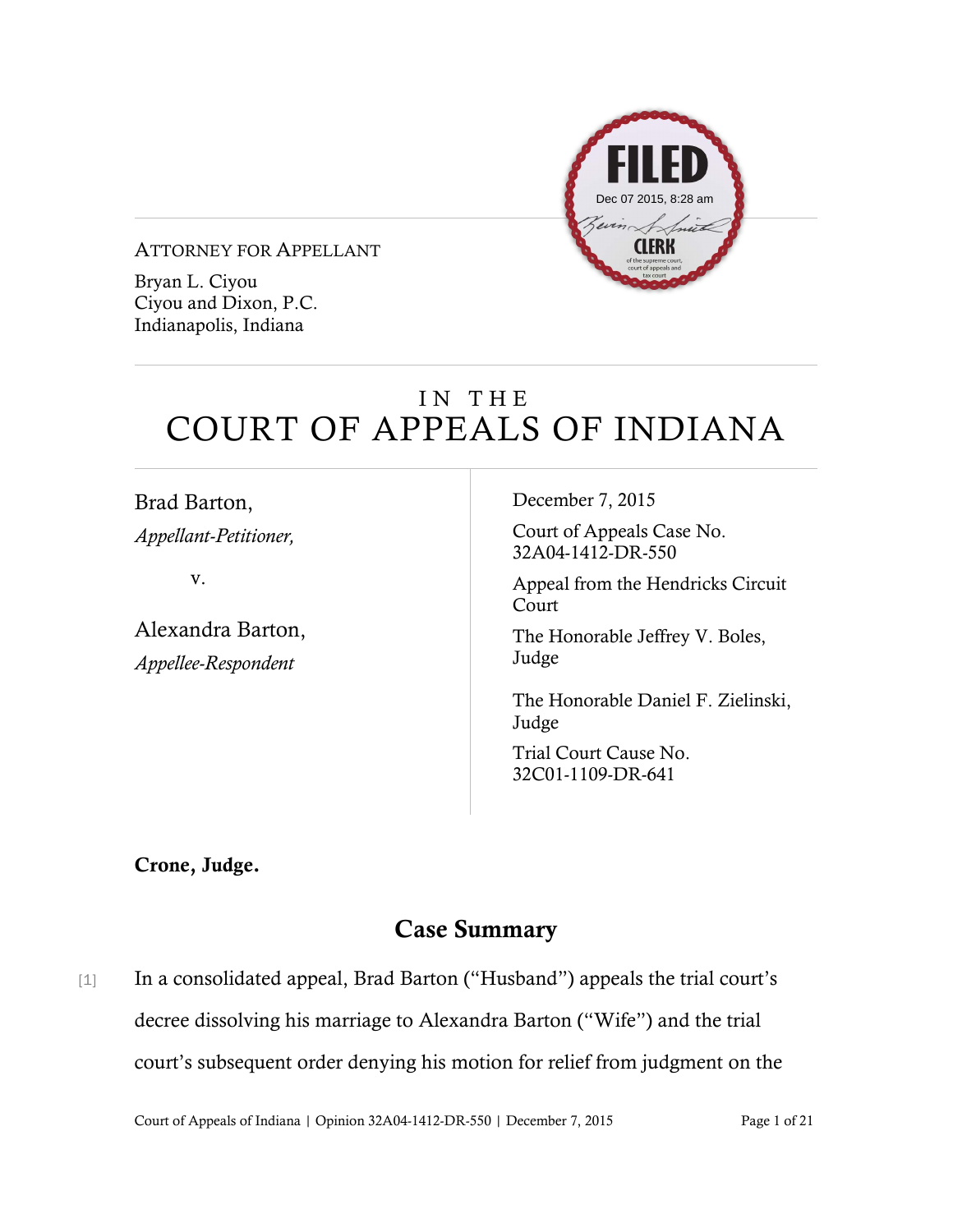

ATTORNEY FOR APPELLANT

Bryan L. Ciyou Ciyou and Dixon, P.C. Indianapolis, Indiana

# IN THE COURT OF APPEALS OF INDIANA

Brad Barton, *Appellant-Petitioner,*

v.

Alexandra Barton, *Appellee-Respondent*

December 7, 2015

Court of Appeals Case No. 32A04-1412-DR-550

Appeal from the Hendricks Circuit Court

The Honorable Jeffrey V. Boles, Judge

The Honorable Daniel F. Zielinski, Judge

Trial Court Cause No. 32C01-1109-DR-641

Crone, Judge.

#### Case Summary

[1] In a consolidated appeal, Brad Barton ("Husband") appeals the trial court's decree dissolving his marriage to Alexandra Barton ("Wife") and the trial court's subsequent order denying his motion for relief from judgment on the

Court of Appeals of Indiana | Opinion 32A04-1412-DR-550 | December 7, 2015 Page 1 of 21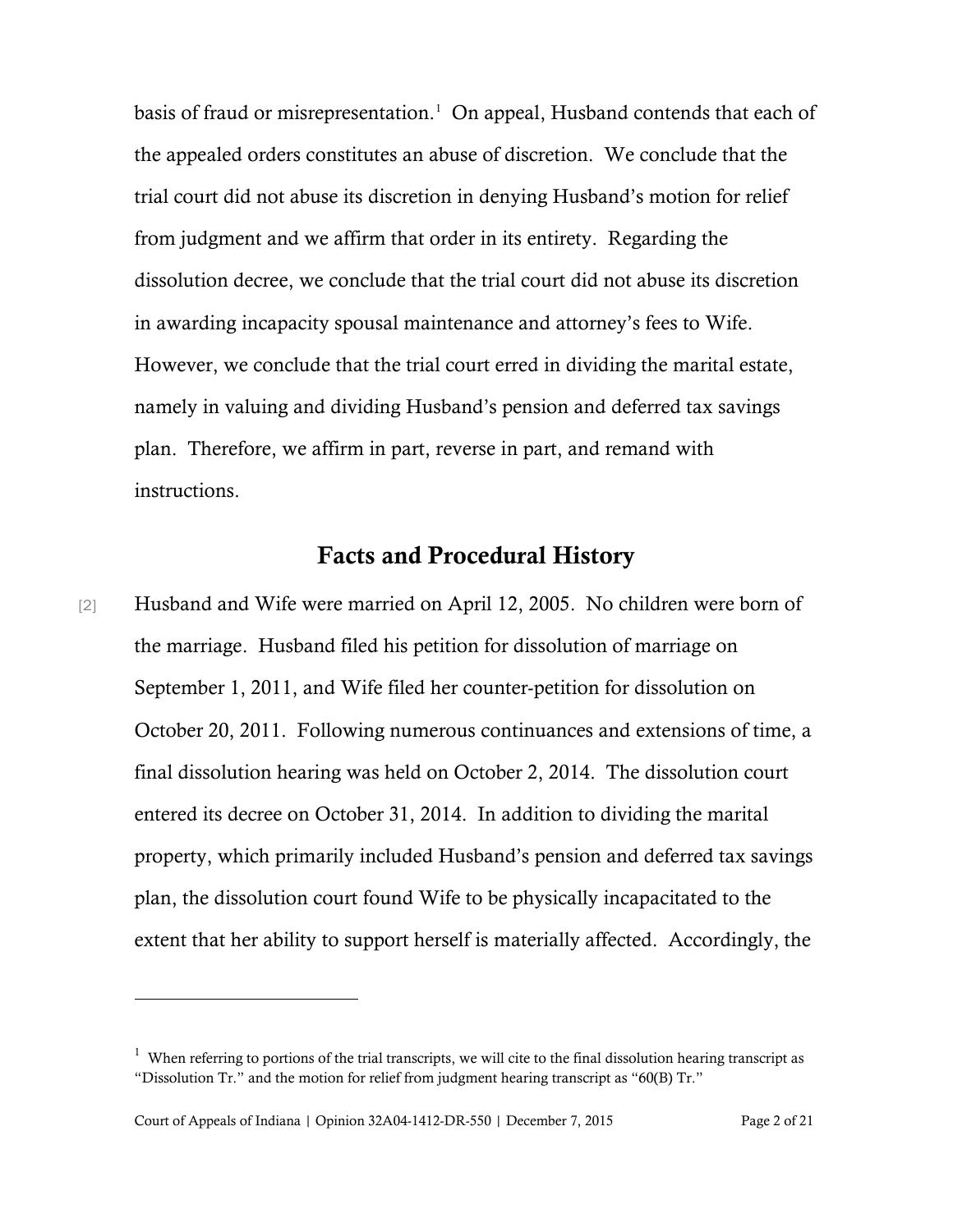basis of fraud or misrepresentation. [1](#page-1-0) On appeal, Husband contends that each of the appealed orders constitutes an abuse of discretion. We conclude that the trial court did not abuse its discretion in denying Husband's motion for relief from judgment and we affirm that order in its entirety. Regarding the dissolution decree, we conclude that the trial court did not abuse its discretion in awarding incapacity spousal maintenance and attorney's fees to Wife. However, we conclude that the trial court erred in dividing the marital estate, namely in valuing and dividing Husband's pension and deferred tax savings plan. Therefore, we affirm in part, reverse in part, and remand with instructions.

#### Facts and Procedural History

[2] Husband and Wife were married on April 12, 2005. No children were born of the marriage. Husband filed his petition for dissolution of marriage on September 1, 2011, and Wife filed her counter-petition for dissolution on October 20, 2011. Following numerous continuances and extensions of time, a final dissolution hearing was held on October 2, 2014. The dissolution court entered its decree on October 31, 2014. In addition to dividing the marital property, which primarily included Husband's pension and deferred tax savings plan, the dissolution court found Wife to be physically incapacitated to the extent that her ability to support herself is materially affected. Accordingly, the

Court of Appeals of Indiana | Opinion 32A04-1412-DR-550 | December 7, 2015 Page 2 of 21

 $\overline{a}$ 

<span id="page-1-0"></span> $1$  When referring to portions of the trial transcripts, we will cite to the final dissolution hearing transcript as "Dissolution Tr." and the motion for relief from judgment hearing transcript as "60(B) Tr."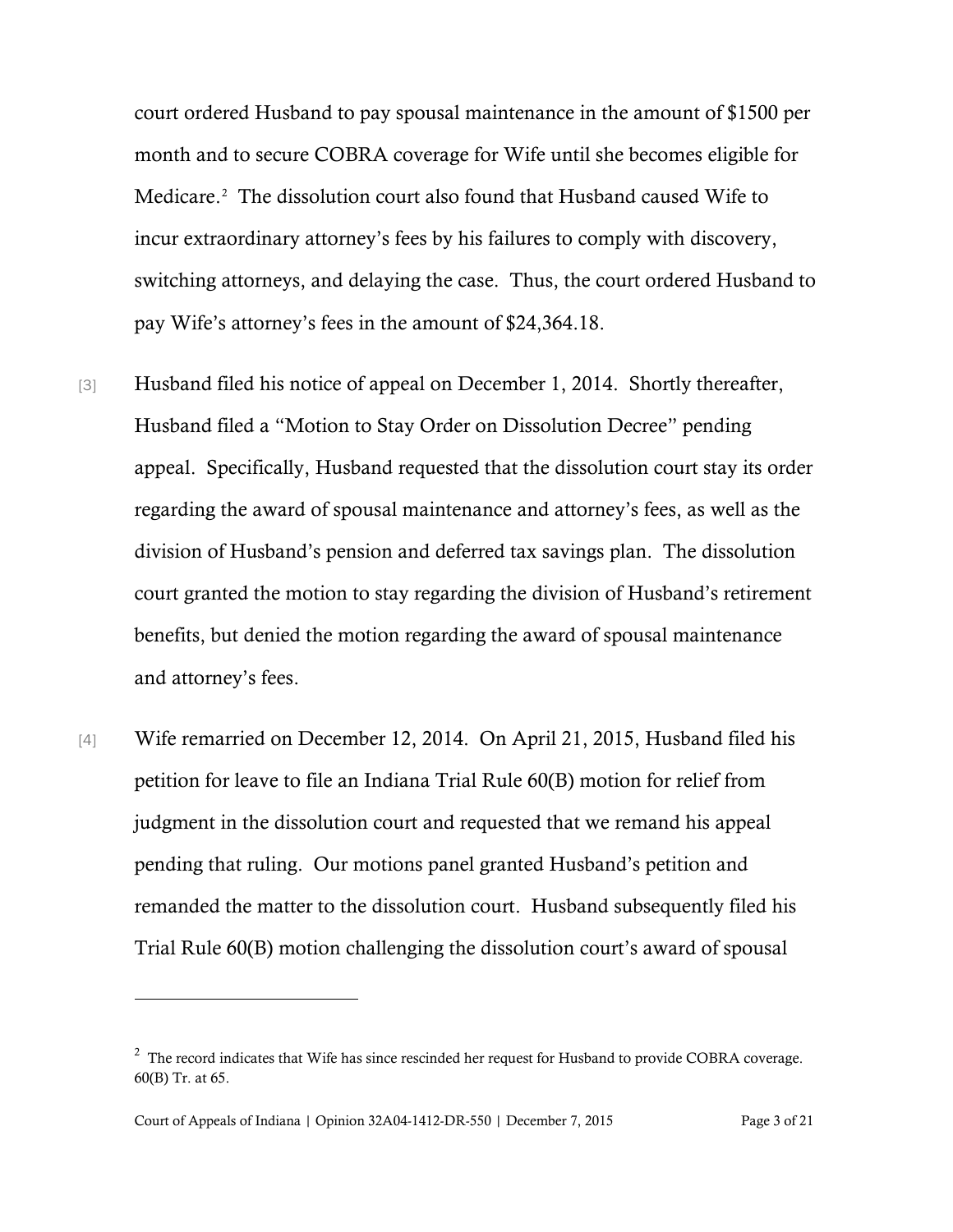court ordered Husband to pay spousal maintenance in the amount of \$1500 per month and to secure COBRA coverage for Wife until she becomes eligible for Medicare.[2](#page-2-0) The dissolution court also found that Husband caused Wife to incur extraordinary attorney's fees by his failures to comply with discovery, switching attorneys, and delaying the case. Thus, the court ordered Husband to pay Wife's attorney's fees in the amount of \$24,364.18.

- [3] Husband filed his notice of appeal on December 1, 2014. Shortly thereafter, Husband filed a "Motion to Stay Order on Dissolution Decree" pending appeal. Specifically, Husband requested that the dissolution court stay its order regarding the award of spousal maintenance and attorney's fees, as well as the division of Husband's pension and deferred tax savings plan. The dissolution court granted the motion to stay regarding the division of Husband's retirement benefits, but denied the motion regarding the award of spousal maintenance and attorney's fees.
- [4] Wife remarried on December 12, 2014. On April 21, 2015, Husband filed his petition for leave to file an Indiana Trial Rule 60(B) motion for relief from judgment in the dissolution court and requested that we remand his appeal pending that ruling. Our motions panel granted Husband's petition and remanded the matter to the dissolution court. Husband subsequently filed his Trial Rule 60(B) motion challenging the dissolution court's award of spousal

 $\overline{a}$ 

<span id="page-2-0"></span><sup>&</sup>lt;sup>2</sup> The record indicates that Wife has since rescinded her request for Husband to provide COBRA coverage. 60(B) Tr. at 65.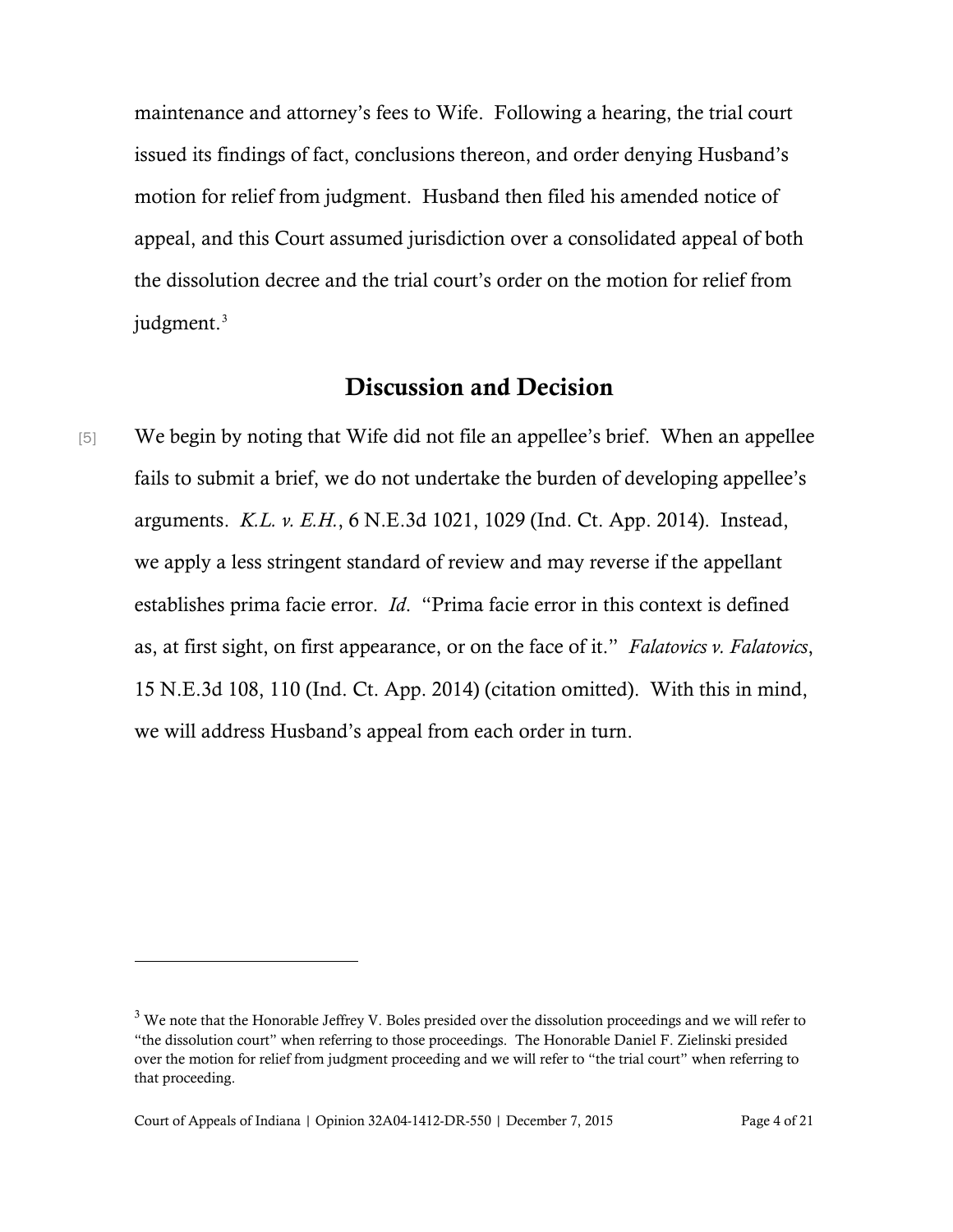maintenance and attorney's fees to Wife. Following a hearing, the trial court issued its findings of fact, conclusions thereon, and order denying Husband's motion for relief from judgment. Husband then filed his amended notice of appeal, and this Court assumed jurisdiction over a consolidated appeal of both the dissolution decree and the trial court's order on the motion for relief from judgment.<sup>[3](#page-3-0)</sup>

#### Discussion and Decision

[5] We begin by noting that Wife did not file an appellee's brief. When an appellee fails to submit a brief, we do not undertake the burden of developing appellee's arguments. *K.L. v. E.H.*, 6 N.E.3d 1021, 1029 (Ind. Ct. App. 2014). Instead, we apply a less stringent standard of review and may reverse if the appellant establishes prima facie error. *Id*. "Prima facie error in this context is defined as, at first sight, on first appearance, or on the face of it." *Falatovics v. Falatovics*, 15 N.E.3d 108, 110 (Ind. Ct. App. 2014) (citation omitted). With this in mind, we will address Husband's appeal from each order in turn.

<span id="page-3-0"></span><sup>&</sup>lt;sup>3</sup> We note that the Honorable Jeffrey V. Boles presided over the dissolution proceedings and we will refer to "the dissolution court" when referring to those proceedings. The Honorable Daniel F. Zielinski presided over the motion for relief from judgment proceeding and we will refer to "the trial court" when referring to that proceeding.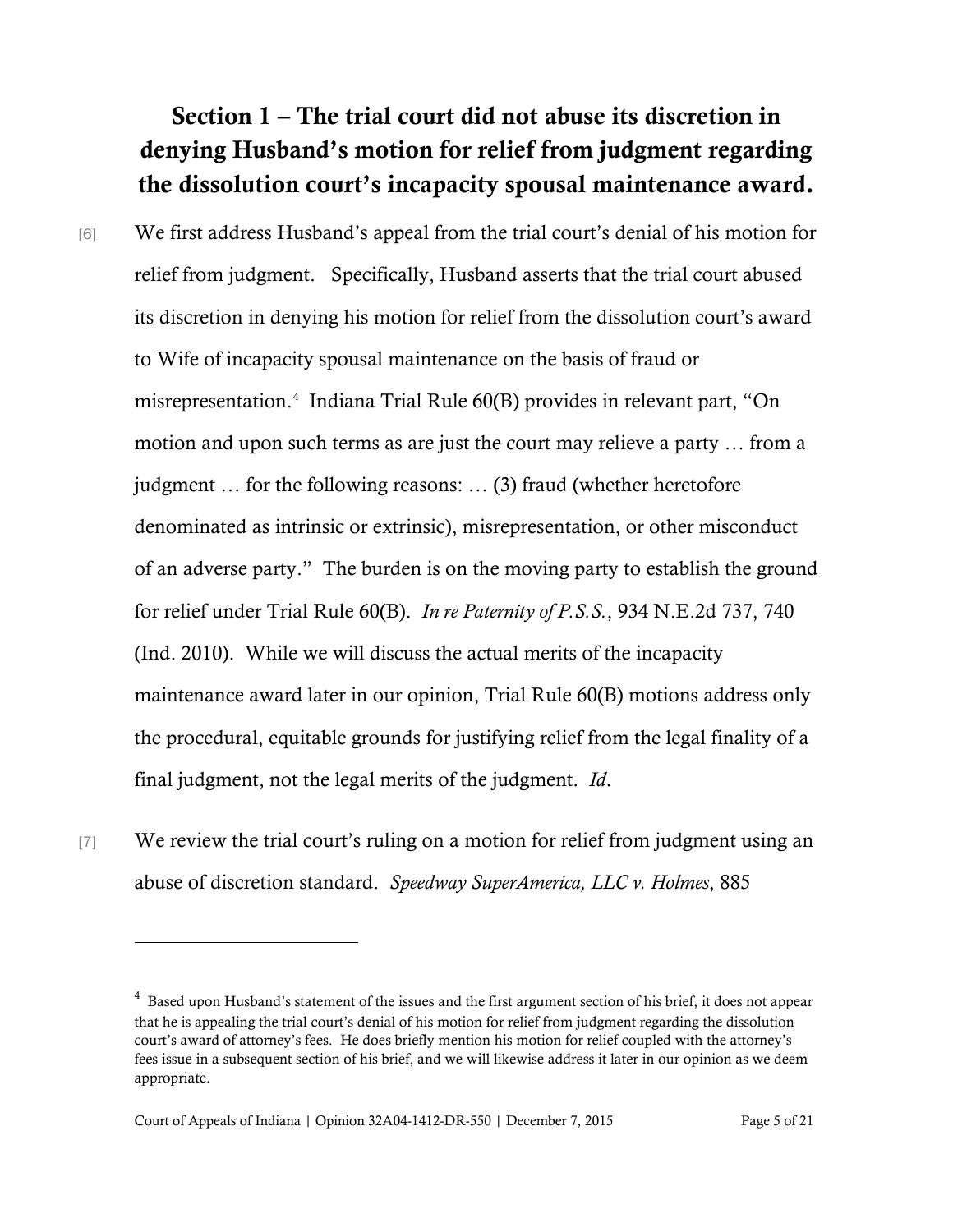# Section 1 – The trial court did not abuse its discretion in denying Husband's motion for relief from judgment regarding the dissolution court's incapacity spousal maintenance award.

- [6] We first address Husband's appeal from the trial court's denial of his motion for relief from judgment. Specifically, Husband asserts that the trial court abused its discretion in denying his motion for relief from the dissolution court's award to Wife of incapacity spousal maintenance on the basis of fraud or misrepresentation.[4](#page-4-0) Indiana Trial Rule 60(B) provides in relevant part, "On motion and upon such terms as are just the court may relieve a party … from a judgment … for the following reasons: … (3) fraud (whether heretofore denominated as intrinsic or extrinsic), misrepresentation, or other misconduct of an adverse party." The burden is on the moving party to establish the ground for relief under Trial Rule 60(B). *In re Paternity of P.S.S.*, 934 N.E.2d 737, 740 (Ind. 2010). While we will discuss the actual merits of the incapacity maintenance award later in our opinion, Trial Rule 60(B) motions address only the procedural, equitable grounds for justifying relief from the legal finality of a final judgment, not the legal merits of the judgment. *Id*.
- [7] We review the trial court's ruling on a motion for relief from judgment using an abuse of discretion standard. *Speedway SuperAmerica, LLC v. Holmes*, 885

<span id="page-4-0"></span> $4$  Based upon Husband's statement of the issues and the first argument section of his brief, it does not appear that he is appealing the trial court's denial of his motion for relief from judgment regarding the dissolution court's award of attorney's fees. He does briefly mention his motion for relief coupled with the attorney's fees issue in a subsequent section of his brief, and we will likewise address it later in our opinion as we deem appropriate.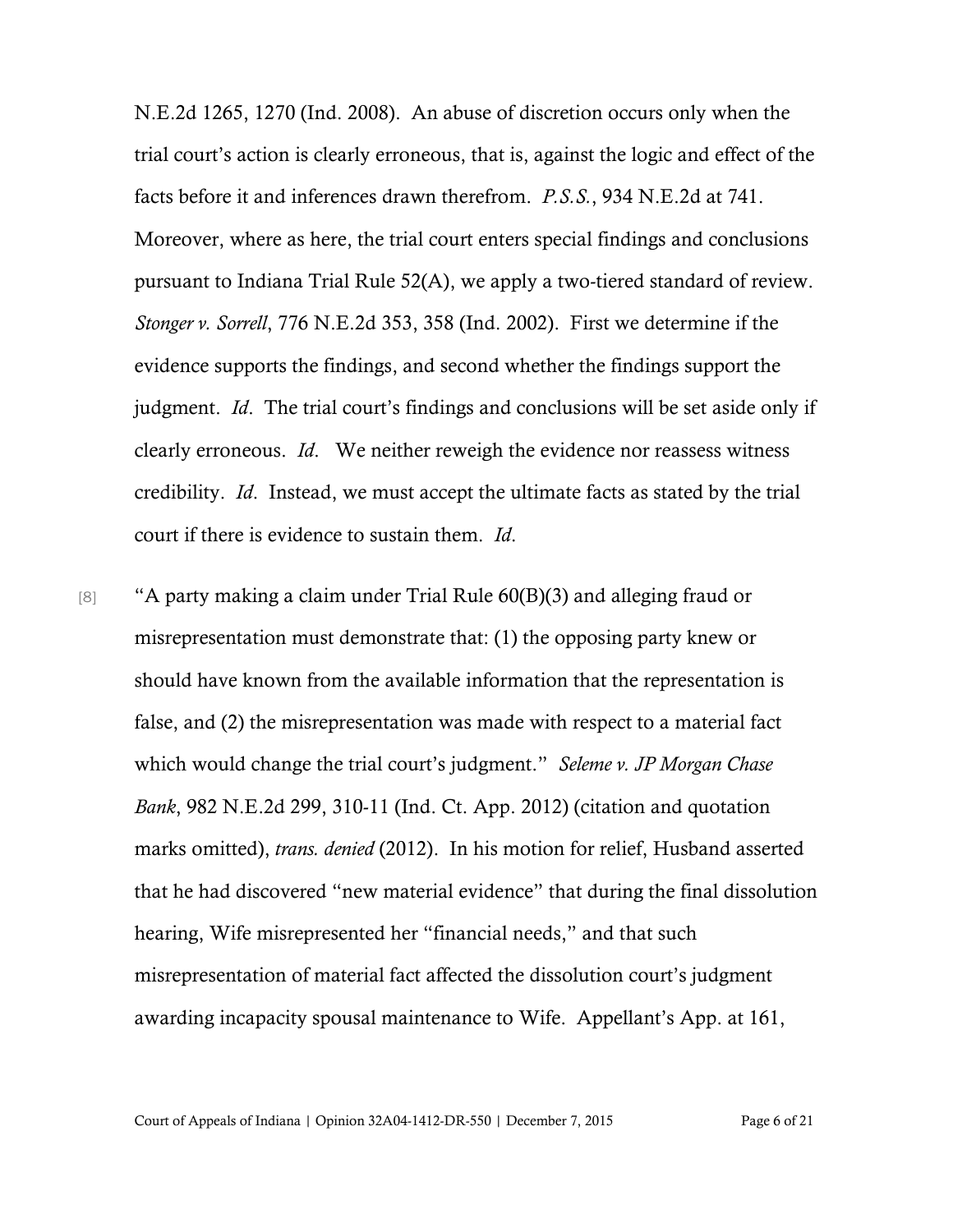N.E.2d 1265, 1270 (Ind. 2008). An abuse of discretion occurs only when the trial court's action is clearly erroneous, that is, against the logic and effect of the facts before it and inferences drawn therefrom. *P.S.S.*, 934 N.E.2d at 741. Moreover, where as here, the trial court enters special findings and conclusions pursuant to Indiana Trial Rule 52(A), we apply a two-tiered standard of review. *Stonger v. Sorrell*, 776 N.E.2d 353, 358 (Ind. 2002). First we determine if the evidence supports the findings, and second whether the findings support the judgment. *Id*. The trial court's findings and conclusions will be set aside only if clearly erroneous. *Id*. We neither reweigh the evidence nor reassess witness credibility. *Id*. Instead, we must accept the ultimate facts as stated by the trial court if there is evidence to sustain them. *Id*.

 $[8]$  "A party making a claim under Trial Rule 60(B)(3) and alleging fraud or misrepresentation must demonstrate that: (1) the opposing party knew or should have known from the available information that the representation is false, and (2) the misrepresentation was made with respect to a material fact which would change the trial court's judgment." *Seleme v. JP Morgan Chase Bank*, 982 N.E.2d 299, 310-11 (Ind. Ct. App. 2012) (citation and quotation marks omitted), *trans. denied* (2012). In his motion for relief, Husband asserted that he had discovered "new material evidence" that during the final dissolution hearing, Wife misrepresented her "financial needs," and that such misrepresentation of material fact affected the dissolution court's judgment awarding incapacity spousal maintenance to Wife. Appellant's App. at 161,

Court of Appeals of Indiana | Opinion 32A04-1412-DR-550 | December 7, 2015 Page 6 of 21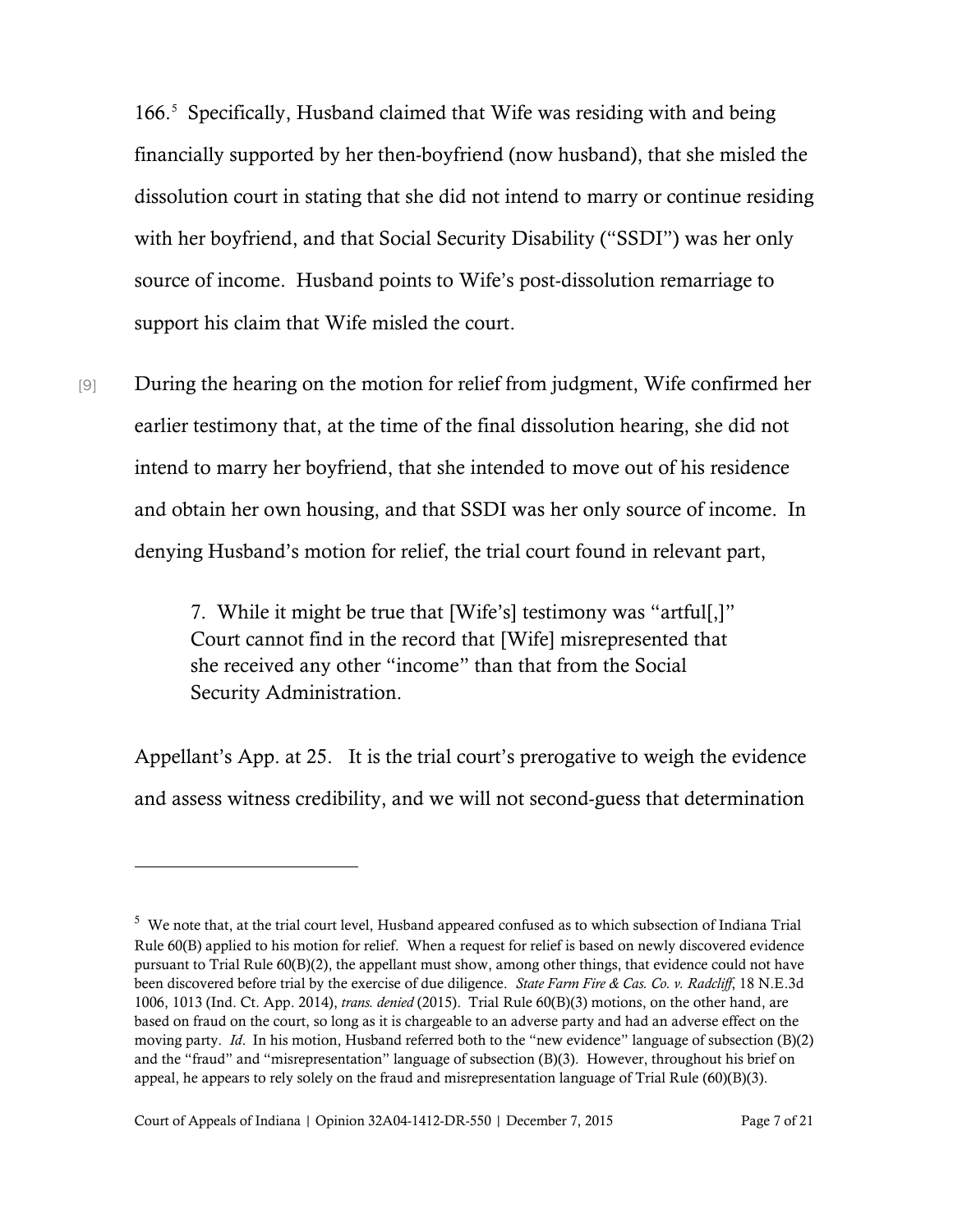166.[5](#page-6-0) Specifically, Husband claimed that Wife was residing with and being financially supported by her then-boyfriend (now husband), that she misled the dissolution court in stating that she did not intend to marry or continue residing with her boyfriend, and that Social Security Disability ("SSDI") was her only source of income. Husband points to Wife's post-dissolution remarriage to support his claim that Wife misled the court.

[9] During the hearing on the motion for relief from judgment, Wife confirmed her earlier testimony that, at the time of the final dissolution hearing, she did not intend to marry her boyfriend, that she intended to move out of his residence and obtain her own housing, and that SSDI was her only source of income. In denying Husband's motion for relief, the trial court found in relevant part,

> 7. While it might be true that [Wife's] testimony was "artful[,]" Court cannot find in the record that [Wife] misrepresented that she received any other "income" than that from the Social Security Administration.

Appellant's App. at 25. It is the trial court's prerogative to weigh the evidence and assess witness credibility, and we will not second-guess that determination

<span id="page-6-0"></span><sup>5</sup> We note that, at the trial court level, Husband appeared confused as to which subsection of Indiana Trial Rule 60(B) applied to his motion for relief. When a request for relief is based on newly discovered evidence pursuant to Trial Rule 60(B)(2), the appellant must show, among other things, that evidence could not have been discovered before trial by the exercise of due diligence. *State Farm Fire & Cas. Co. v. Radcliff*, 18 N.E.3d 1006, 1013 (Ind. Ct. App. 2014), *trans. denied* (2015). Trial Rule 60(B)(3) motions, on the other hand, are based on fraud on the court, so long as it is chargeable to an adverse party and had an adverse effect on the moving party. *Id*. In his motion, Husband referred both to the "new evidence" language of subsection (B)(2) and the "fraud" and "misrepresentation" language of subsection (B)(3). However, throughout his brief on appeal, he appears to rely solely on the fraud and misrepresentation language of Trial Rule (60)(B)(3).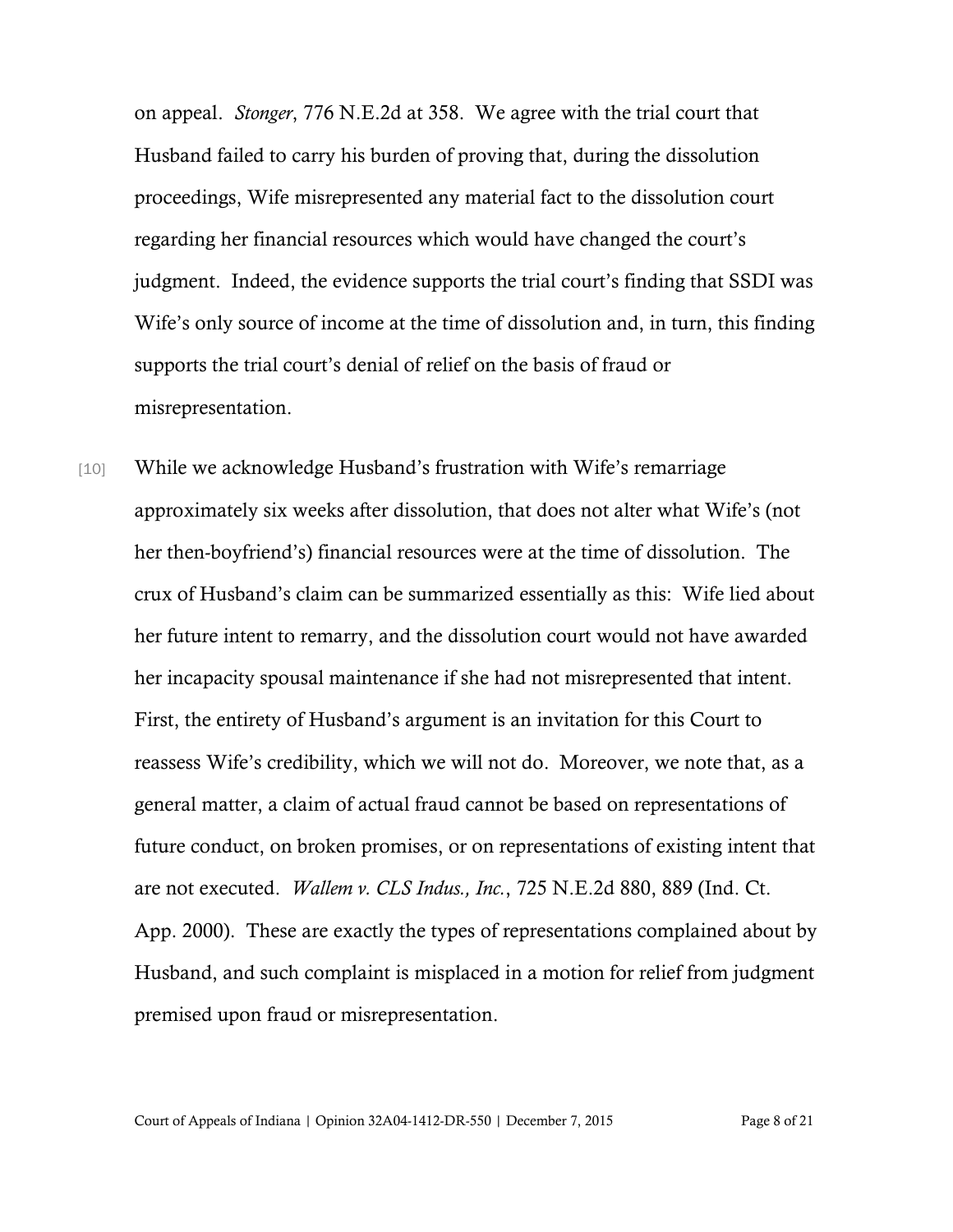on appeal. *Stonger*, 776 N.E.2d at 358. We agree with the trial court that Husband failed to carry his burden of proving that, during the dissolution proceedings, Wife misrepresented any material fact to the dissolution court regarding her financial resources which would have changed the court's judgment. Indeed, the evidence supports the trial court's finding that SSDI was Wife's only source of income at the time of dissolution and, in turn, this finding supports the trial court's denial of relief on the basis of fraud or misrepresentation.

[10] While we acknowledge Husband's frustration with Wife's remarriage approximately six weeks after dissolution, that does not alter what Wife's (not her then-boyfriend's) financial resources were at the time of dissolution. The crux of Husband's claim can be summarized essentially as this: Wife lied about her future intent to remarry, and the dissolution court would not have awarded her incapacity spousal maintenance if she had not misrepresented that intent. First, the entirety of Husband's argument is an invitation for this Court to reassess Wife's credibility, which we will not do. Moreover, we note that, as a general matter, a claim of actual fraud cannot be based on representations of future conduct, on broken promises, or on representations of existing intent that are not executed. *Wallem v. CLS Indus., Inc.*, 725 N.E.2d 880, 889 (Ind. Ct. App. 2000). These are exactly the types of representations complained about by Husband, and such complaint is misplaced in a motion for relief from judgment premised upon fraud or misrepresentation.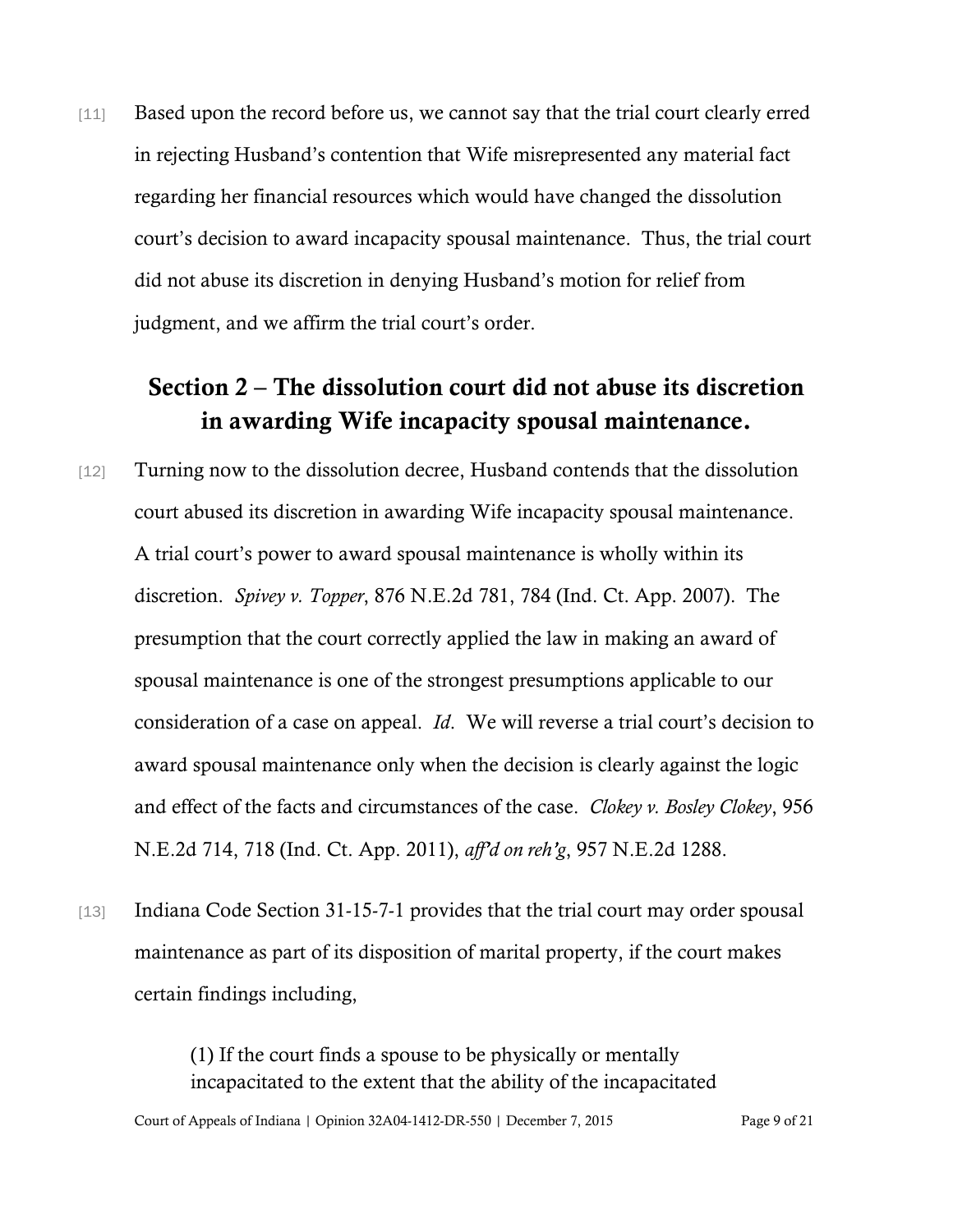[11] Based upon the record before us, we cannot say that the trial court clearly erred in rejecting Husband's contention that Wife misrepresented any material fact regarding her financial resources which would have changed the dissolution court's decision to award incapacity spousal maintenance. Thus, the trial court did not abuse its discretion in denying Husband's motion for relief from judgment, and we affirm the trial court's order.

### Section 2 – The dissolution court did not abuse its discretion in awarding Wife incapacity spousal maintenance.

- [12] Turning now to the dissolution decree, Husband contends that the dissolution court abused its discretion in awarding Wife incapacity spousal maintenance. A trial court's power to award spousal maintenance is wholly within its discretion. *Spivey v. Topper*, 876 N.E.2d 781, 784 (Ind. Ct. App. 2007). The presumption that the court correctly applied the law in making an award of spousal maintenance is one of the strongest presumptions applicable to our consideration of a case on appeal. *Id*. We will reverse a trial court's decision to award spousal maintenance only when the decision is clearly against the logic and effect of the facts and circumstances of the case. *Clokey v. Bosley Clokey*, 956 N.E.2d 714, 718 (Ind. Ct. App. 2011), *aff'd on reh'g*, 957 N.E.2d 1288.
- [13] Indiana Code Section 31-15-7-1 provides that the trial court may order spousal maintenance as part of its disposition of marital property, if the court makes certain findings including,

(1) If the court finds a spouse to be physically or mentally incapacitated to the extent that the ability of the incapacitated

Court of Appeals of Indiana | Opinion 32A04-1412-DR-550 | December 7, 2015 Page 9 of 21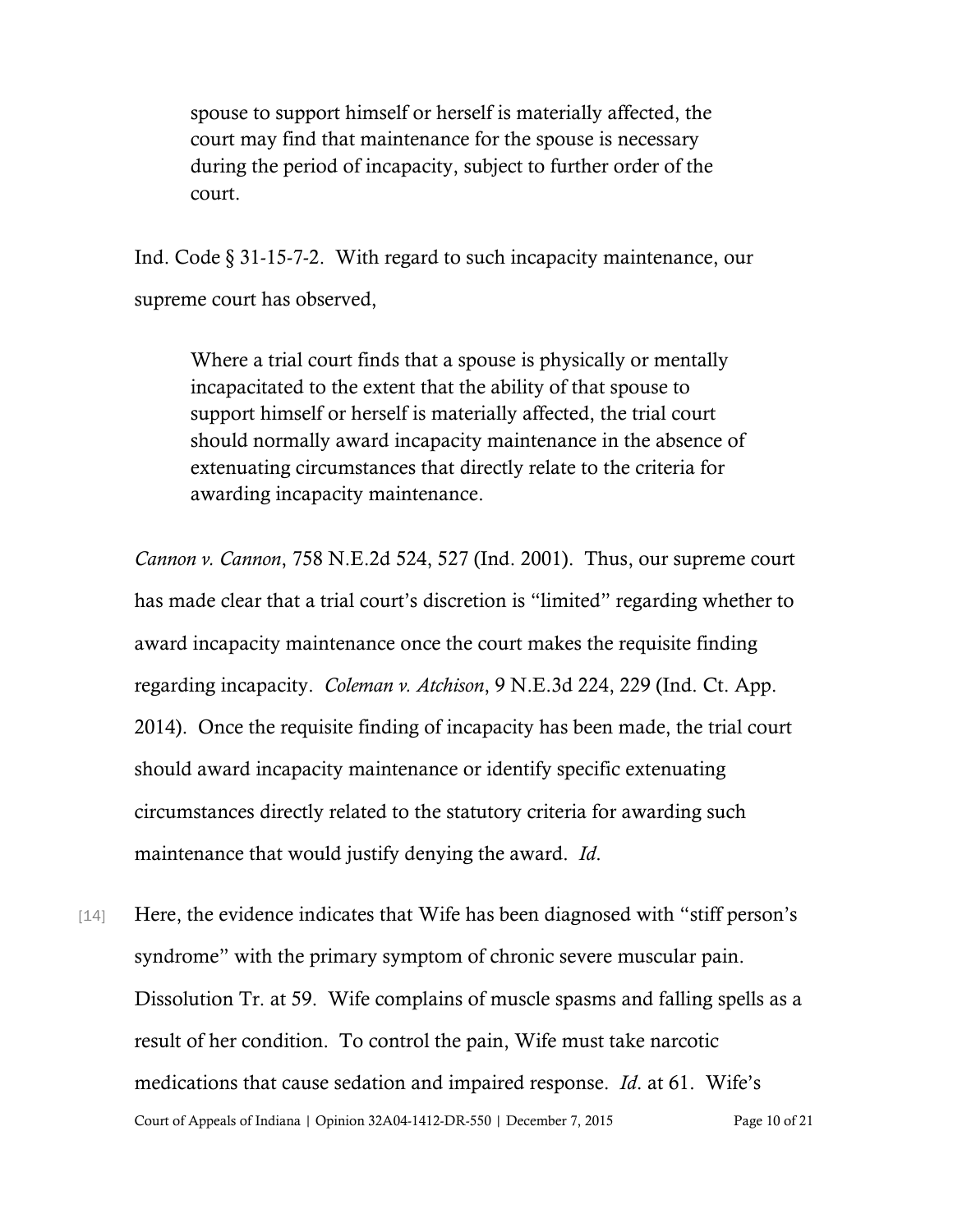spouse to support himself or herself is materially affected, the court may find that maintenance for the spouse is necessary during the period of incapacity, subject to further order of the court.

Ind. Code § 31-15-7-2. With regard to such incapacity maintenance, our supreme court has observed,

Where a trial court finds that a spouse is physically or mentally incapacitated to the extent that the ability of that spouse to support himself or herself is materially affected, the trial court should normally award incapacity maintenance in the absence of extenuating circumstances that directly relate to the criteria for awarding incapacity maintenance.

*Cannon v. Cannon*, 758 N.E.2d 524, 527 (Ind. 2001). Thus, our supreme court has made clear that a trial court's discretion is "limited" regarding whether to award incapacity maintenance once the court makes the requisite finding regarding incapacity. *Coleman v. Atchison*, 9 N.E.3d 224, 229 (Ind. Ct. App. 2014). Once the requisite finding of incapacity has been made, the trial court should award incapacity maintenance or identify specific extenuating circumstances directly related to the statutory criteria for awarding such maintenance that would justify denying the award. *Id*.

[14] Here, the evidence indicates that Wife has been diagnosed with "stiff person's syndrome" with the primary symptom of chronic severe muscular pain. Dissolution Tr. at 59. Wife complains of muscle spasms and falling spells as a result of her condition. To control the pain, Wife must take narcotic medications that cause sedation and impaired response. *Id*. at 61. Wife's Court of Appeals of Indiana | Opinion 32A04-1412-DR-550 | December 7, 2015 Page 10 of 21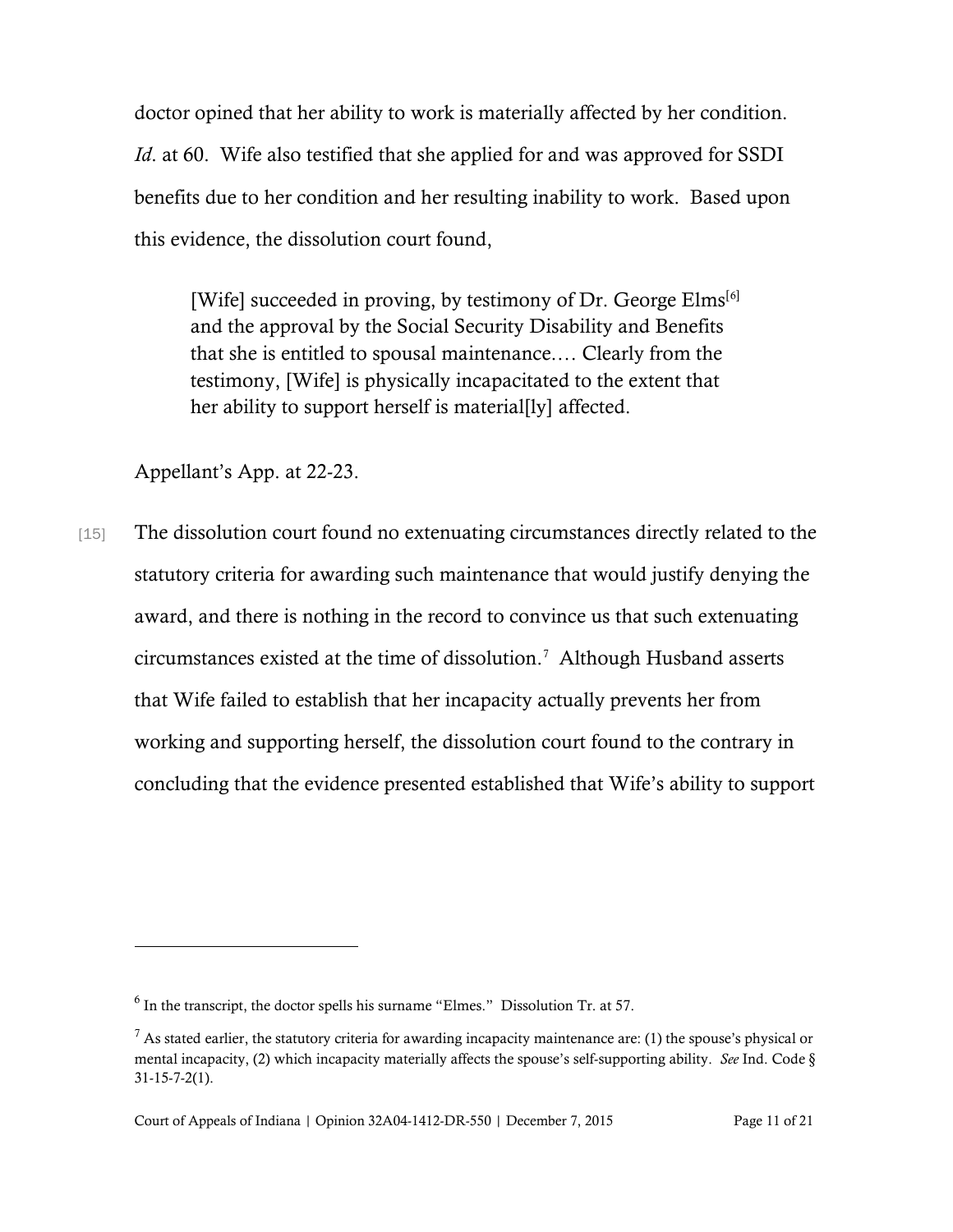doctor opined that her ability to work is materially affected by her condition. *Id*. at 60. Wife also testified that she applied for and was approved for SSDI benefits due to her condition and her resulting inability to work. Based upon this evidence, the dissolution court found,

[Wife] succeeded in proving, by testimony of Dr. George  $E1ms^{[6]}$  $E1ms^{[6]}$  $E1ms^{[6]}$ and the approval by the Social Security Disability and Benefits that she is entitled to spousal maintenance.… Clearly from the testimony, [Wife] is physically incapacitated to the extent that her ability to support herself is material[ly] affected.

Appellant's App. at 22-23.

l

[15] The dissolution court found no extenuating circumstances directly related to the statutory criteria for awarding such maintenance that would justify denying the award, and there is nothing in the record to convince us that such extenuating  $circumstances$  existed at the time of dissolution.<sup>[7](#page-10-1)</sup> Although Husband asserts that Wife failed to establish that her incapacity actually prevents her from working and supporting herself, the dissolution court found to the contrary in concluding that the evidence presented established that Wife's ability to support

<span id="page-10-0"></span> $<sup>6</sup>$  In the transcript, the doctor spells his surname "Elmes." Dissolution Tr. at 57.</sup>

<span id="page-10-1"></span> $<sup>7</sup>$  As stated earlier, the statutory criteria for awarding incapacity maintenance are: (1) the spouse's physical or</sup> mental incapacity, (2) which incapacity materially affects the spouse's self-supporting ability. *See* Ind. Code § 31-15-7-2(1).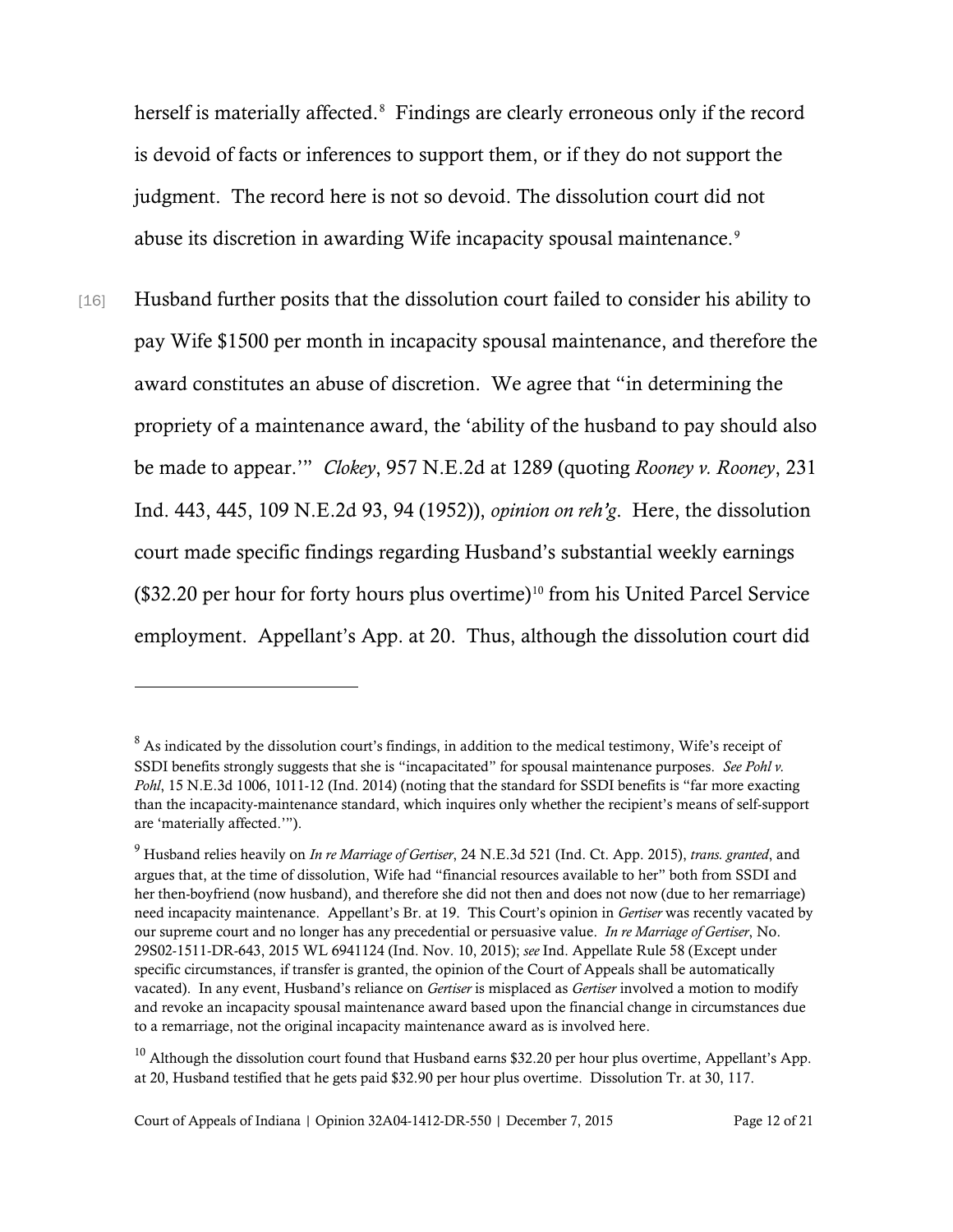herself is materially affected.<sup>[8](#page-11-0)</sup> Findings are clearly erroneous only if the record is devoid of facts or inferences to support them, or if they do not support the judgment. The record here is not so devoid. The dissolution court did not abuse its discretion in awarding Wife incapacity spousal maintenance.<sup>[9](#page-11-1)</sup>

[16] Husband further posits that the dissolution court failed to consider his ability to pay Wife \$1500 per month in incapacity spousal maintenance, and therefore the award constitutes an abuse of discretion. We agree that "in determining the propriety of a maintenance award, the 'ability of the husband to pay should also be made to appear.'" *Clokey*, 957 N.E.2d at 1289 (quoting *Rooney v. Rooney*, 231 Ind. 443, 445, 109 N.E.2d 93, 94 (1952)), *opinion on reh'g*. Here, the dissolution court made specific findings regarding Husband's substantial weekly earnings  $($32.20$  per hour for forty hours plus overtime)<sup>[10](#page-11-2)</sup> from his United Parcel Service employment. Appellant's App. at 20. Thus, although the dissolution court did

<span id="page-11-0"></span><sup>&</sup>lt;sup>8</sup> As indicated by the dissolution court's findings, in addition to the medical testimony, Wife's receipt of SSDI benefits strongly suggests that she is "incapacitated" for spousal maintenance purposes. *See Pohl v. Pohl*, 15 N.E.3d 1006, 1011-12 (Ind. 2014) (noting that the standard for SSDI benefits is "far more exacting than the incapacity-maintenance standard, which inquires only whether the recipient's means of self-support are 'materially affected.'").

<span id="page-11-1"></span><sup>9</sup> Husband relies heavily on *In re Marriage of Gertiser*, 24 N.E.3d 521 (Ind. Ct. App. 2015), *trans. granted*, and argues that, at the time of dissolution, Wife had "financial resources available to her" both from SSDI and her then-boyfriend (now husband), and therefore she did not then and does not now (due to her remarriage) need incapacity maintenance. Appellant's Br. at 19. This Court's opinion in *Gertiser* was recently vacated by our supreme court and no longer has any precedential or persuasive value. *In re Marriage of Gertiser*, No. 29S02-1511-DR-643, 2015 WL 6941124 (Ind. Nov. 10, 2015); *see* Ind. Appellate Rule 58 (Except under specific circumstances, if transfer is granted, the opinion of the Court of Appeals shall be automatically vacated). In any event, Husband's reliance on *Gertiser* is misplaced as *Gertiser* involved a motion to modify and revoke an incapacity spousal maintenance award based upon the financial change in circumstances due to a remarriage, not the original incapacity maintenance award as is involved here.

<span id="page-11-2"></span> $10$  Although the dissolution court found that Husband earns \$32.20 per hour plus overtime, Appellant's App. at 20, Husband testified that he gets paid \$32.90 per hour plus overtime. Dissolution Tr. at 30, 117.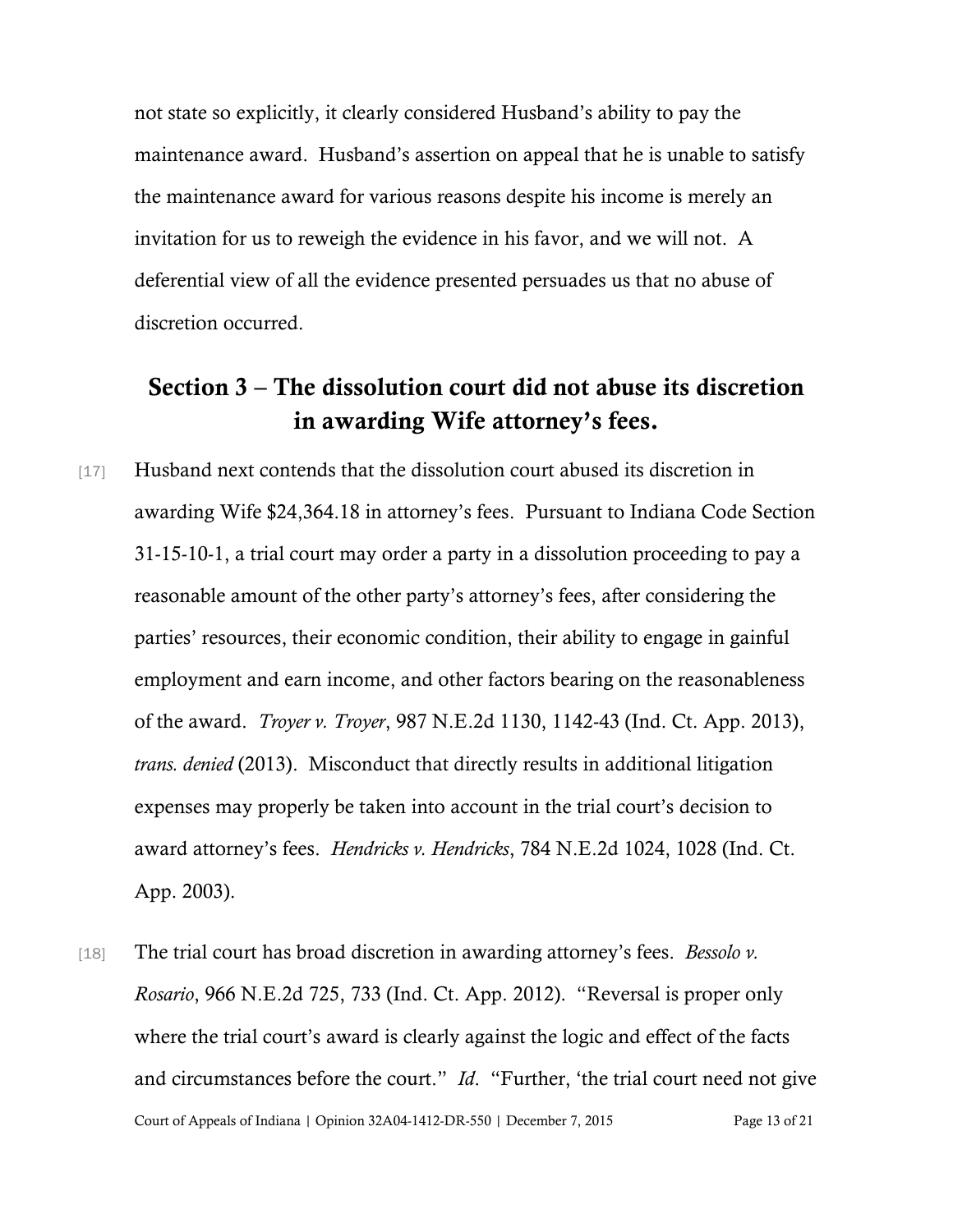not state so explicitly, it clearly considered Husband's ability to pay the maintenance award. Husband's assertion on appeal that he is unable to satisfy the maintenance award for various reasons despite his income is merely an invitation for us to reweigh the evidence in his favor, and we will not. A deferential view of all the evidence presented persuades us that no abuse of discretion occurred.

## Section 3 – The dissolution court did not abuse its discretion in awarding Wife attorney's fees.

- [17] Husband next contends that the dissolution court abused its discretion in awarding Wife \$24,364.18 in attorney's fees. Pursuant to Indiana Code Section 31-15-10-1, a trial court may order a party in a dissolution proceeding to pay a reasonable amount of the other party's attorney's fees, after considering the parties' resources, their economic condition, their ability to engage in gainful employment and earn income, and other factors bearing on the reasonableness of the award. *Troyer v. Troyer*, 987 N.E.2d 1130, 1142-43 (Ind. Ct. App. 2013), *trans. denied* (2013). Misconduct that directly results in additional litigation expenses may properly be taken into account in the trial court's decision to award attorney's fees. *Hendricks v. Hendricks*, 784 N.E.2d 1024, 1028 (Ind. Ct. App. 2003).
- [18] The trial court has broad discretion in awarding attorney's fees. *Bessolo v. Rosario*, 966 N.E.2d 725, 733 (Ind. Ct. App. 2012). "Reversal is proper only where the trial court's award is clearly against the logic and effect of the facts and circumstances before the court." *Id*. "Further, 'the trial court need not give Court of Appeals of Indiana | Opinion 32A04-1412-DR-550 | December 7, 2015 Page 13 of 21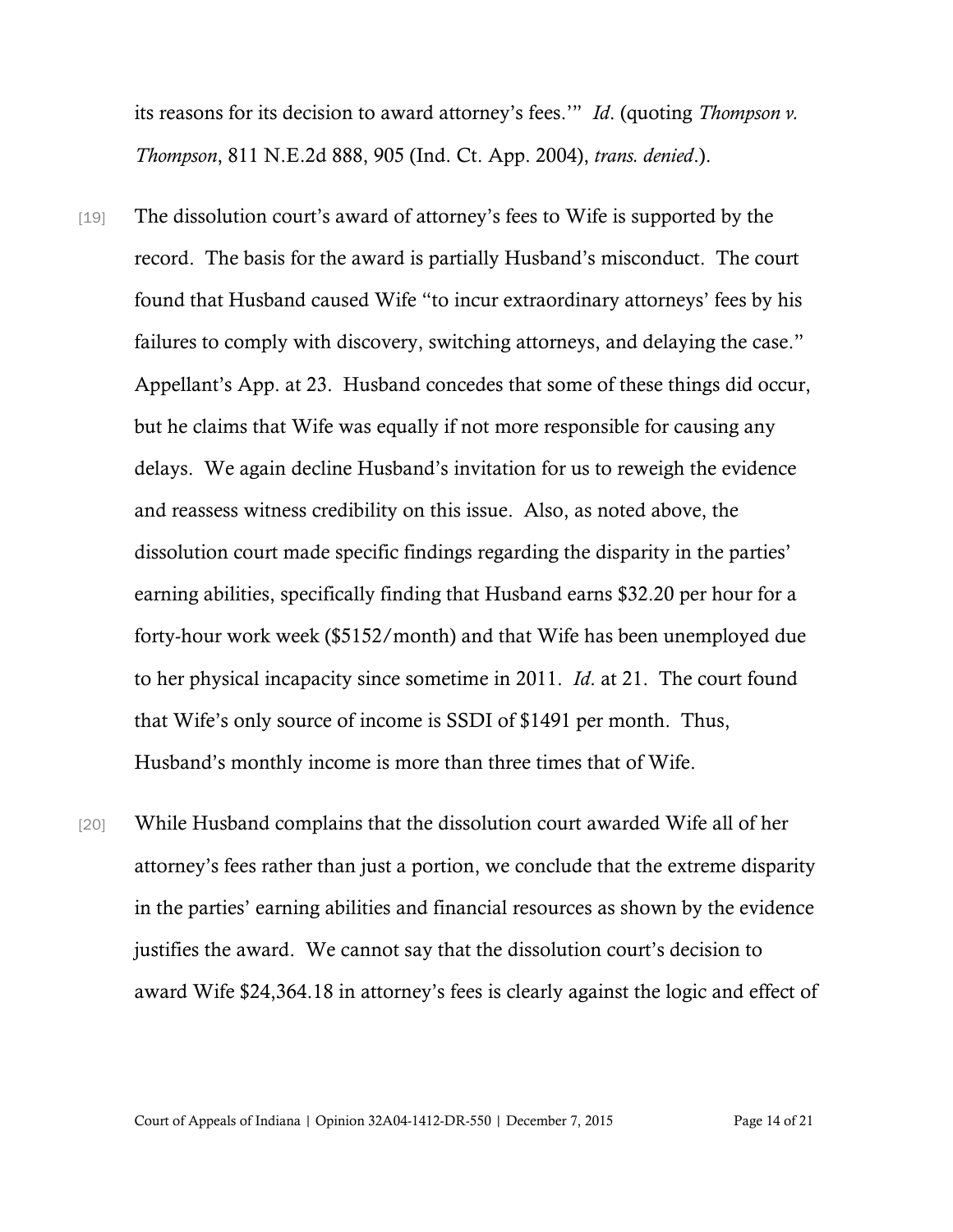its reasons for its decision to award attorney's fees.'" *Id*. (quoting *Thompson v. Thompson*, 811 N.E.2d 888, 905 (Ind. Ct. App. 2004), *trans. denied*.).

- [19] The dissolution court's award of attorney's fees to Wife is supported by the record. The basis for the award is partially Husband's misconduct. The court found that Husband caused Wife "to incur extraordinary attorneys' fees by his failures to comply with discovery, switching attorneys, and delaying the case." Appellant's App. at 23. Husband concedes that some of these things did occur, but he claims that Wife was equally if not more responsible for causing any delays. We again decline Husband's invitation for us to reweigh the evidence and reassess witness credibility on this issue. Also, as noted above, the dissolution court made specific findings regarding the disparity in the parties' earning abilities, specifically finding that Husband earns \$32.20 per hour for a forty-hour work week (\$5152/month) and that Wife has been unemployed due to her physical incapacity since sometime in 2011. *Id*. at 21. The court found that Wife's only source of income is SSDI of \$1491 per month. Thus, Husband's monthly income is more than three times that of Wife.
- [20] While Husband complains that the dissolution court awarded Wife all of her attorney's fees rather than just a portion, we conclude that the extreme disparity in the parties' earning abilities and financial resources as shown by the evidence justifies the award. We cannot say that the dissolution court's decision to award Wife \$24,364.18 in attorney's fees is clearly against the logic and effect of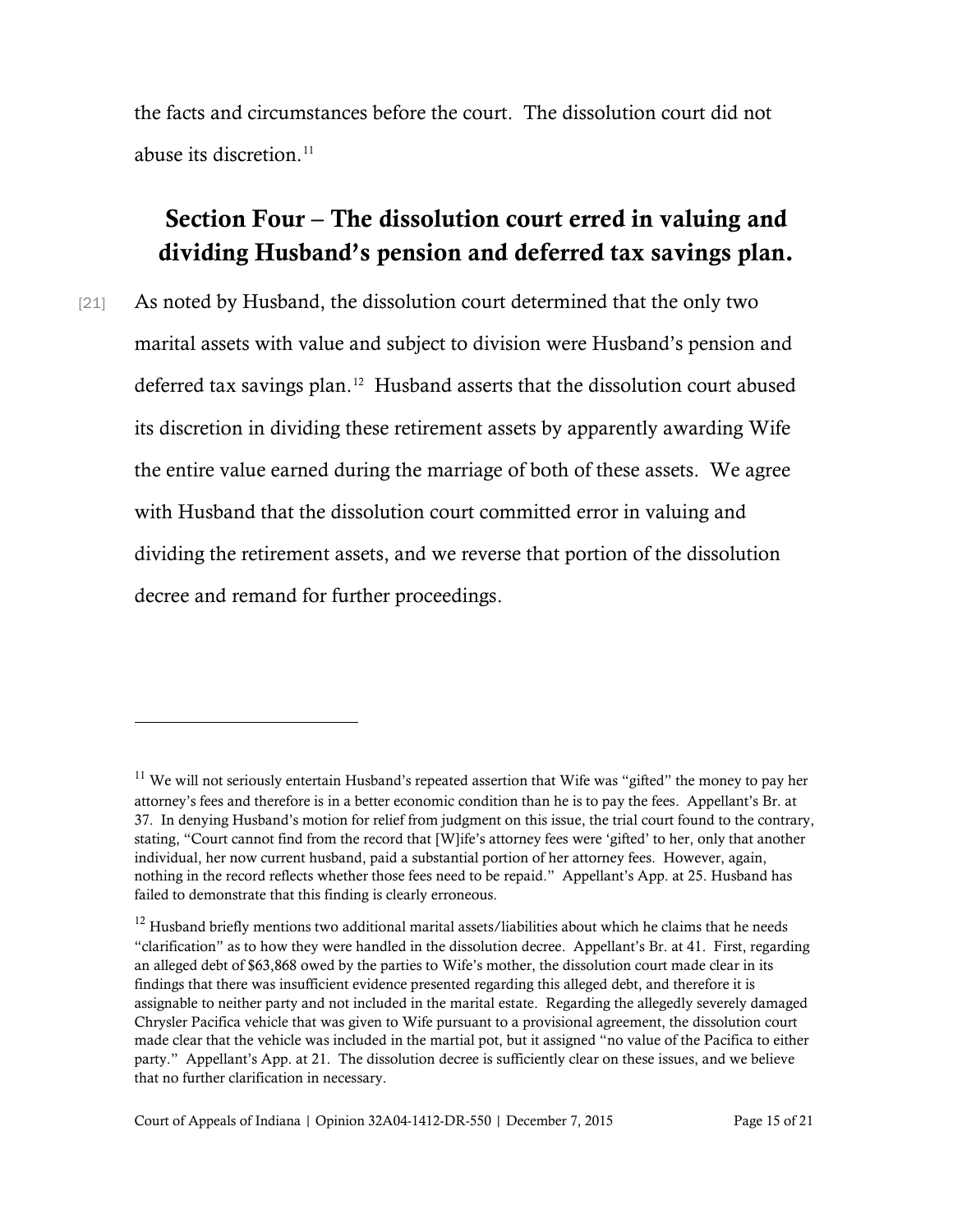the facts and circumstances before the court. The dissolution court did not abuse its discretion. [11](#page-14-0)

## Section Four – The dissolution court erred in valuing and dividing Husband's pension and deferred tax savings plan.

[21] As noted by Husband, the dissolution court determined that the only two marital assets with value and subject to division were Husband's pension and deferred tax savings plan. [12](#page-14-1) Husband asserts that the dissolution court abused its discretion in dividing these retirement assets by apparently awarding Wife the entire value earned during the marriage of both of these assets. We agree with Husband that the dissolution court committed error in valuing and dividing the retirement assets, and we reverse that portion of the dissolution decree and remand for further proceedings.

<span id="page-14-0"></span> $11$  We will not seriously entertain Husband's repeated assertion that Wife was "gifted" the money to pay her attorney's fees and therefore is in a better economic condition than he is to pay the fees. Appellant's Br. at 37. In denying Husband's motion for relief from judgment on this issue, the trial court found to the contrary, stating, "Court cannot find from the record that [W]ife's attorney fees were 'gifted' to her, only that another individual, her now current husband, paid a substantial portion of her attorney fees. However, again, nothing in the record reflects whether those fees need to be repaid." Appellant's App. at 25. Husband has failed to demonstrate that this finding is clearly erroneous.

<span id="page-14-1"></span><sup>&</sup>lt;sup>12</sup> Husband briefly mentions two additional marital assets/liabilities about which he claims that he needs "clarification" as to how they were handled in the dissolution decree. Appellant's Br. at 41. First, regarding an alleged debt of \$63,868 owed by the parties to Wife's mother, the dissolution court made clear in its findings that there was insufficient evidence presented regarding this alleged debt, and therefore it is assignable to neither party and not included in the marital estate. Regarding the allegedly severely damaged Chrysler Pacifica vehicle that was given to Wife pursuant to a provisional agreement, the dissolution court made clear that the vehicle was included in the martial pot, but it assigned "no value of the Pacifica to either party." Appellant's App. at 21. The dissolution decree is sufficiently clear on these issues, and we believe that no further clarification in necessary.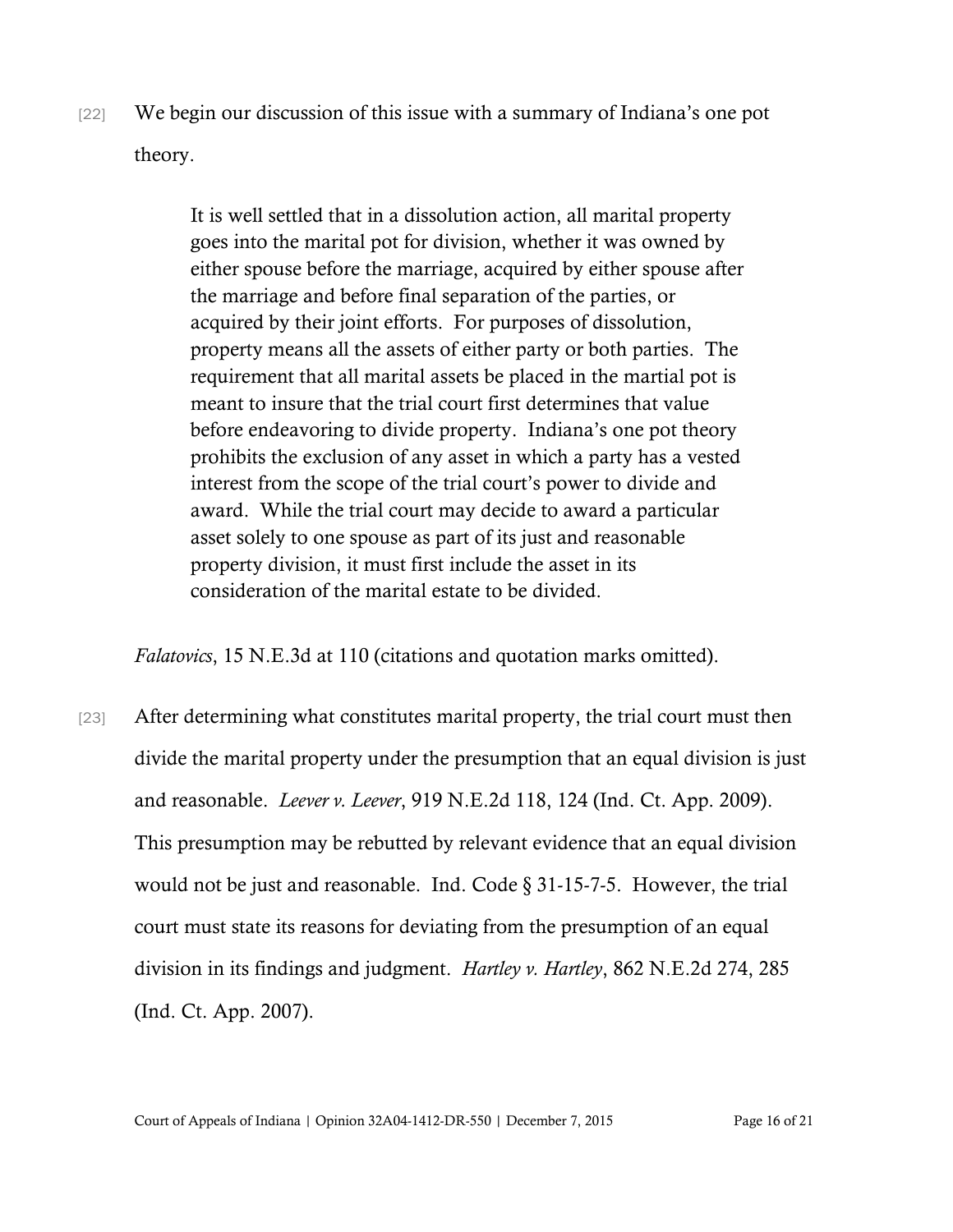[22] We begin our discussion of this issue with a summary of Indiana's one pot theory.

> It is well settled that in a dissolution action, all marital property goes into the marital pot for division, whether it was owned by either spouse before the marriage, acquired by either spouse after the marriage and before final separation of the parties, or acquired by their joint efforts. For purposes of dissolution, property means all the assets of either party or both parties. The requirement that all marital assets be placed in the martial pot is meant to insure that the trial court first determines that value before endeavoring to divide property. Indiana's one pot theory prohibits the exclusion of any asset in which a party has a vested interest from the scope of the trial court's power to divide and award. While the trial court may decide to award a particular asset solely to one spouse as part of its just and reasonable property division, it must first include the asset in its consideration of the marital estate to be divided.

*Falatovics*, 15 N.E.3d at 110 (citations and quotation marks omitted).

[23] After determining what constitutes marital property, the trial court must then divide the marital property under the presumption that an equal division is just and reasonable. *Leever v. Leever*, 919 N.E.2d 118, 124 (Ind. Ct. App. 2009). This presumption may be rebutted by relevant evidence that an equal division would not be just and reasonable. Ind. Code § 31-15-7-5. However, the trial court must state its reasons for deviating from the presumption of an equal division in its findings and judgment. *Hartley v. Hartley*, 862 N.E.2d 274, 285 (Ind. Ct. App. 2007).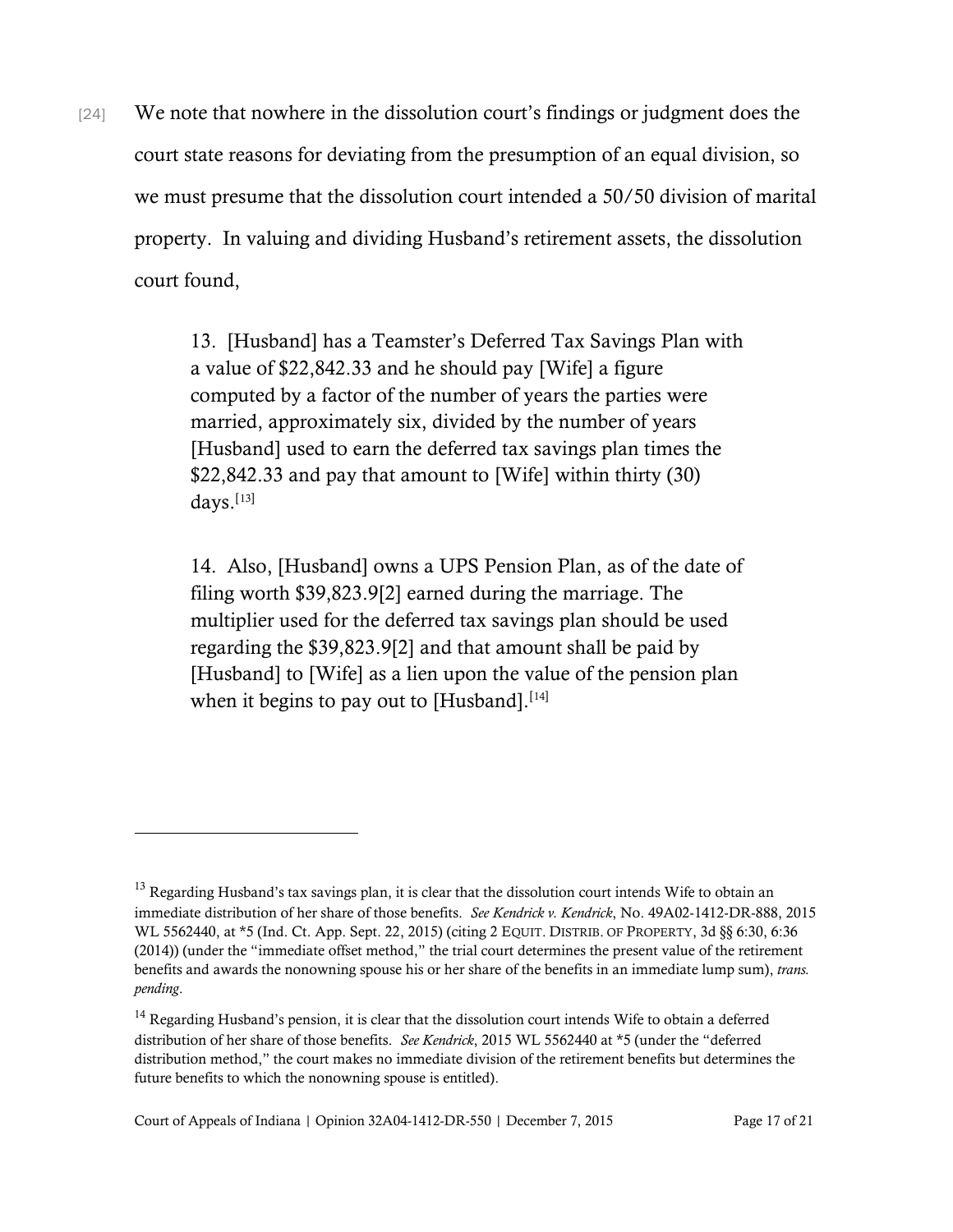[24] We note that nowhere in the dissolution court's findings or judgment does the court state reasons for deviating from the presumption of an equal division, so we must presume that the dissolution court intended a 50/50 division of marital property. In valuing and dividing Husband's retirement assets, the dissolution court found,

> 13. [Husband] has a Teamster's Deferred Tax Savings Plan with a value of \$22,842.33 and he should pay [Wife] a figure computed by a factor of the number of years the parties were married, approximately six, divided by the number of years [Husband] used to earn the deferred tax savings plan times the \$22,842.33 and pay that amount to [Wife] within thirty (30)  $davs.$ <sup>[[13](#page-16-0)]</sup>

> 14. Also, [Husband] owns a UPS Pension Plan, as of the date of filing worth \$39,823.9[2] earned during the marriage. The multiplier used for the deferred tax savings plan should be used regarding the \$39,823.9[2] and that amount shall be paid by [Husband] to [Wife] as a lien upon the value of the pension plan when it begins to pay out to [Husband]. $[14]$  $[14]$  $[14]$

<span id="page-16-0"></span> $13$  Regarding Husband's tax savings plan, it is clear that the dissolution court intends Wife to obtain an immediate distribution of her share of those benefits. *See Kendrick v. Kendrick*, No. 49A02-1412-DR-888, 2015 WL 5562440, at \*5 (Ind. Ct. App. Sept. 22, 2015) (citing 2 EQUIT. DISTRIB. OF PROPERTY, 3d §§ 6:30, 6:36 (2014)) (under the "immediate offset method," the trial court determines the present value of the retirement benefits and awards the nonowning spouse his or her share of the benefits in an immediate lump sum), *trans. pending*.

<span id="page-16-1"></span><sup>&</sup>lt;sup>14</sup> Regarding Husband's pension, it is clear that the dissolution court intends Wife to obtain a deferred distribution of her share of those benefits. *See Kendrick*, 2015 WL 5562440 at \*5 (under the "deferred distribution method," the court makes no immediate division of the retirement benefits but determines the future benefits to which the nonowning spouse is entitled).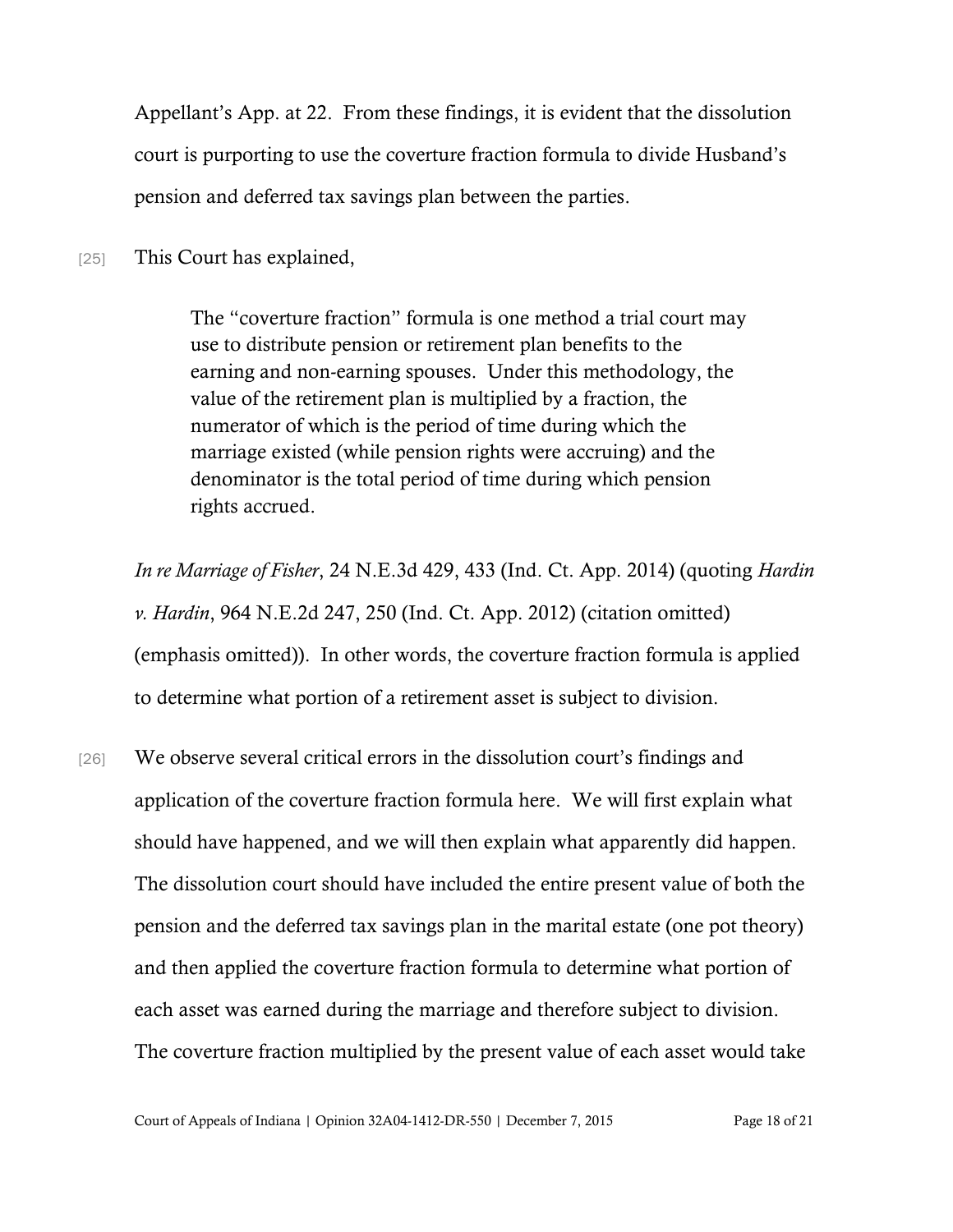Appellant's App. at 22. From these findings, it is evident that the dissolution court is purporting to use the coverture fraction formula to divide Husband's pension and deferred tax savings plan between the parties.

[25] This Court has explained,

The "coverture fraction" formula is one method a trial court may use to distribute pension or retirement plan benefits to the earning and non-earning spouses. Under this methodology, the value of the retirement plan is multiplied by a fraction, the numerator of which is the period of time during which the marriage existed (while pension rights were accruing) and the denominator is the total period of time during which pension rights accrued.

*In re Marriage of Fisher*, 24 N.E.3d 429, 433 (Ind. Ct. App. 2014) (quoting *Hardin v. Hardin*, 964 N.E.2d 247, 250 (Ind. Ct. App. 2012) (citation omitted) (emphasis omitted)). In other words, the coverture fraction formula is applied to determine what portion of a retirement asset is subject to division.

[26] We observe several critical errors in the dissolution court's findings and application of the coverture fraction formula here. We will first explain what should have happened, and we will then explain what apparently did happen. The dissolution court should have included the entire present value of both the pension and the deferred tax savings plan in the marital estate (one pot theory) and then applied the coverture fraction formula to determine what portion of each asset was earned during the marriage and therefore subject to division. The coverture fraction multiplied by the present value of each asset would take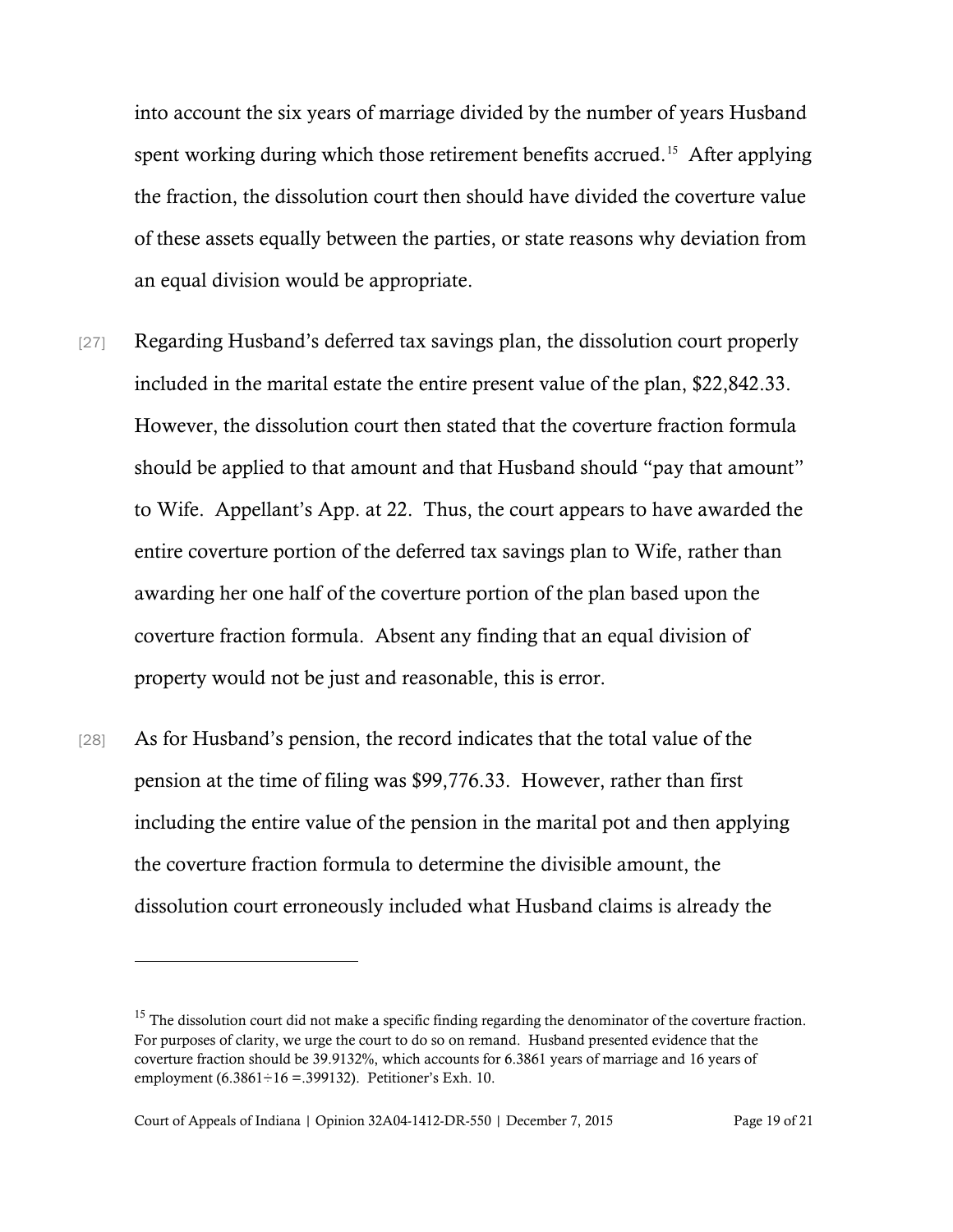into account the six years of marriage divided by the number of years Husband spent working during which those retirement benefits accrued. [15](#page-18-0) After applying the fraction, the dissolution court then should have divided the coverture value of these assets equally between the parties, or state reasons why deviation from an equal division would be appropriate.

- [27] Regarding Husband's deferred tax savings plan, the dissolution court properly included in the marital estate the entire present value of the plan, \$22,842.33. However, the dissolution court then stated that the coverture fraction formula should be applied to that amount and that Husband should "pay that amount" to Wife. Appellant's App. at 22. Thus, the court appears to have awarded the entire coverture portion of the deferred tax savings plan to Wife, rather than awarding her one half of the coverture portion of the plan based upon the coverture fraction formula. Absent any finding that an equal division of property would not be just and reasonable, this is error.
- [28] As for Husband's pension, the record indicates that the total value of the pension at the time of filing was \$99,776.33. However, rather than first including the entire value of the pension in the marital pot and then applying the coverture fraction formula to determine the divisible amount, the dissolution court erroneously included what Husband claims is already the

<span id="page-18-0"></span><sup>&</sup>lt;sup>15</sup> The dissolution court did not make a specific finding regarding the denominator of the coverture fraction. For purposes of clarity, we urge the court to do so on remand. Husband presented evidence that the coverture fraction should be 39.9132%, which accounts for 6.3861 years of marriage and 16 years of employment (6.3861÷16 =.399132). Petitioner's Exh. 10.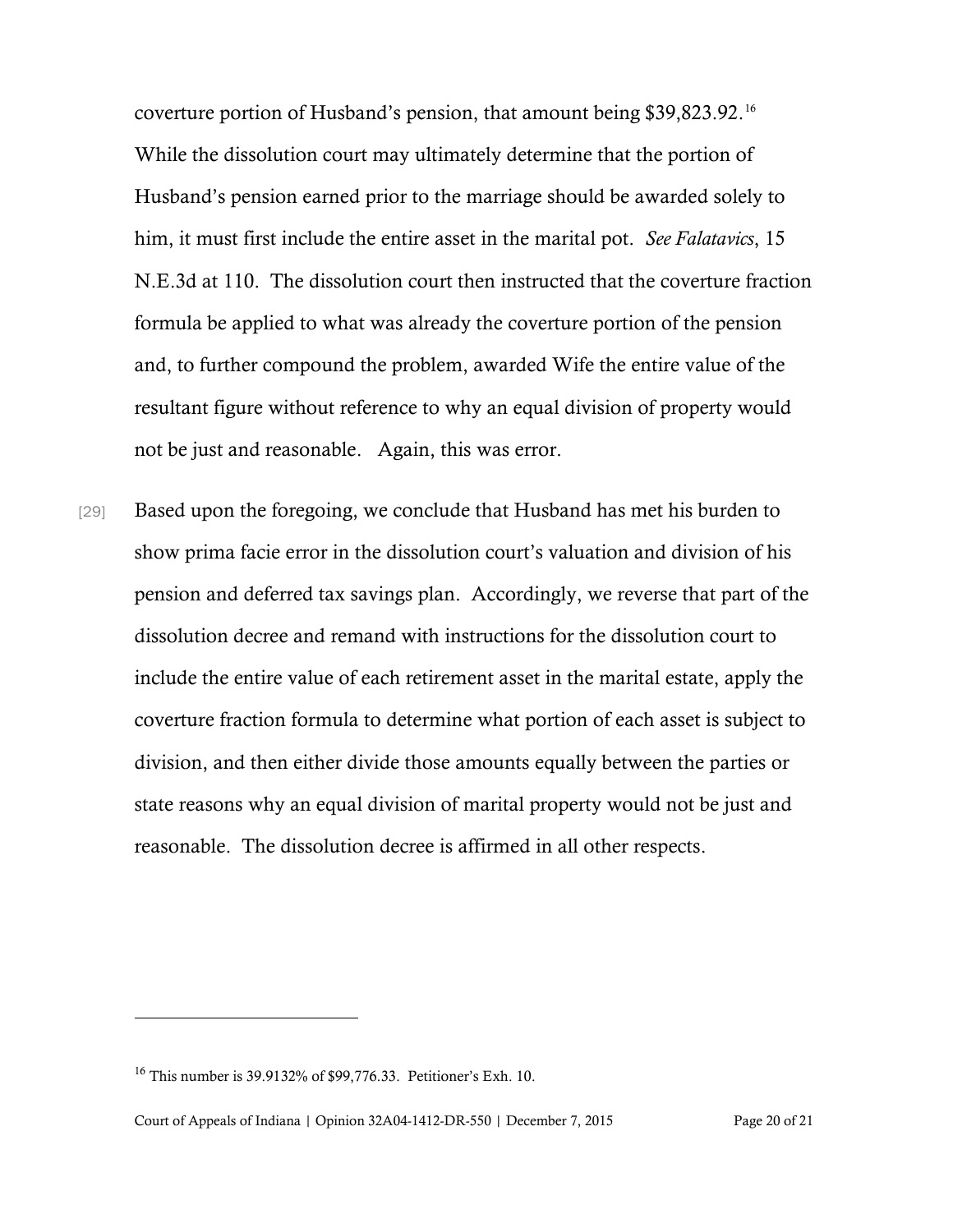coverture portion of Husband's pension, that amount being \$39,823.92. [16](#page-19-0)  While the dissolution court may ultimately determine that the portion of Husband's pension earned prior to the marriage should be awarded solely to him, it must first include the entire asset in the marital pot. *See Falatavics*, 15 N.E.3d at 110. The dissolution court then instructed that the coverture fraction formula be applied to what was already the coverture portion of the pension and, to further compound the problem, awarded Wife the entire value of the resultant figure without reference to why an equal division of property would not be just and reasonable. Again, this was error.

[29] Based upon the foregoing, we conclude that Husband has met his burden to show prima facie error in the dissolution court's valuation and division of his pension and deferred tax savings plan. Accordingly, we reverse that part of the dissolution decree and remand with instructions for the dissolution court to include the entire value of each retirement asset in the marital estate, apply the coverture fraction formula to determine what portion of each asset is subject to division, and then either divide those amounts equally between the parties or state reasons why an equal division of marital property would not be just and reasonable. The dissolution decree is affirmed in all other respects.

<span id="page-19-0"></span><sup>16</sup> This number is 39.9132% of \$99,776.33. Petitioner's Exh. 10.